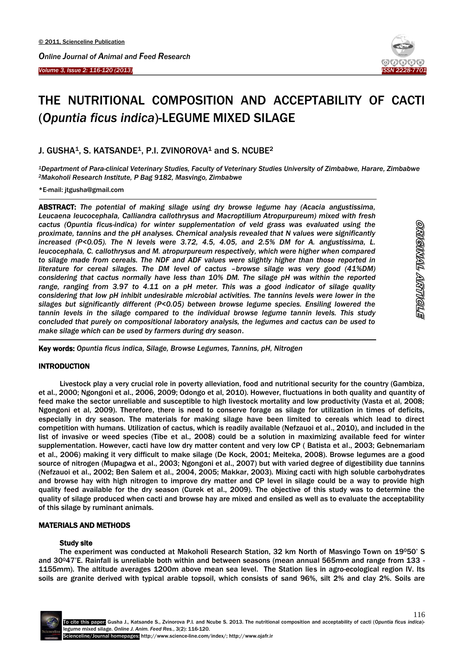İ



# THE NUTRITIONAL COMPOSITION AND ACCEPTABILITY OF CACTI (*Opuntia ficus indica*)-LEGUME MIXED SILAGE

## J. GUSHA<sup>1</sup>, S. KATSANDE<sup>1</sup>, P.I. ZVINOROVA<sup>1</sup> and S. NCUBE<sup>2</sup>

*<sup>1</sup>Department of Para-clinical Veterinary Studies, Faculty of Veterinary Studies University of Zimbabwe, Harare, Zimbabwe <sup>2</sup>Makoholi Research Institute, P Bag 9182, Masvingo, Zimbabwe*

\*E-mail: jtgusha@gmail.com

 $\overline{\phantom{a}}$ ABSTRACT: *The potential of making silage using dry browse legume hay (Acacia angustissima, Leucaena leucocephala, Calliandra callothrysus and Macroptilium Atropurpureum) mixed with fresh cactus (Opuntia ficus-indica) for winter supplementation of veld grass was evaluated using the proximate, tannins and the pH analyses. Chemical analysis revealed that N values were significantly increased (P<0.05). The N levels were 3.72, 4.5, 4.05, and 2.5% DM for A. angustissima, L. leucocephala, C. callothrysus and M. atropurpureum respectively, which were higher when compared to silage made from cereals. The NDF and ADF values were slightly higher than those reported in literature for cereal silages. The DM level of cactus –browse silage was very good (41%DM) considering that cactus normally have less than 10% DM. The silage pH was within the reported range, ranging from 3.97 to 4.11 on a pH meter. This was a good indicator of silage quality considering that low pH inhibit undesirable microbial activities. The tannins levels were lower in the silages but significantly different (P<0.05) between browse legume species. Ensiling lowered the tannin levels in the silage compared to the individual browse legume tannin levels. This study concluded that purely on compositional laboratory analysis, the legumes and cactus can be used to make silage which can be used by farmers during dry season*.

Key words: *Opuntia ficus indica, Silage, Browse Legumes, Tannins, pH, Nitrogen*

## **INTRODUCTION**

-

Livestock play a very crucial role in poverty alleviation, food and nutritional security for the country (Gambiza, et al., 2000; Ngongoni et al., 2006, 2009; Odongo et al, 2010). However, fluctuations in both quality and quantity of feed make the sector unreliable and susceptible to high livestock mortality and low productivity (Vasta et al, 2008; Ngongoni et al, 2009). Therefore, there is need to conserve forage as silage for utilization in times of deficits, especially in dry season. The materials for making silage have been limited to cereals which lead to direct competition with humans. Utilization of cactus, which is readily available (Nefzauoi et al., 2010), and included in the list of invasive or weed species (Tibe et al., 2008) could be a solution in maximizing available feed for winter supplementation. However, cacti have low dry matter content and very low CP ( Batista et al., 2003; Gebnemariam et al., 2006) making it very difficult to make silage (De Kock, 2001; Meiteka, 2008). Browse legumes are a good source of nitrogen (Mupagwa et al., 2003; Ngongoni et al., 2007) but with varied degree of digestibility due tannins (Nefzauoi et al., 2002; Ben Salem et al., 2004, 2005; Makkar, 2003). Mixing cacti with high soluble carbohydrates and browse hay with high nitrogen to improve dry matter and CP level in silage could be a way to provide high quality feed available for the dry season (Curek et al., 2009). The objective of this study was to determine the quality of silage produced when cacti and browse hay are mixed and ensiled as well as to evaluate the acceptability of this silage by ruminant animals.

#### MATERIALS AND METHODS

#### Study site

The experiment was conducted at Makoholi Research Station, 32 km North of Masvingo Town on 19050' S and 30°47'E. Rainfall is unreliable both within and between seasons (mean annual 565mm and range from 133 -1155mm). The altitude averages 1200m above mean sea level. The Station lies in agro-ecological region IV. Its soils are granite derived with typical arable topsoil, which consists of sand 96%, silt 2% and clay 2%. Soils are

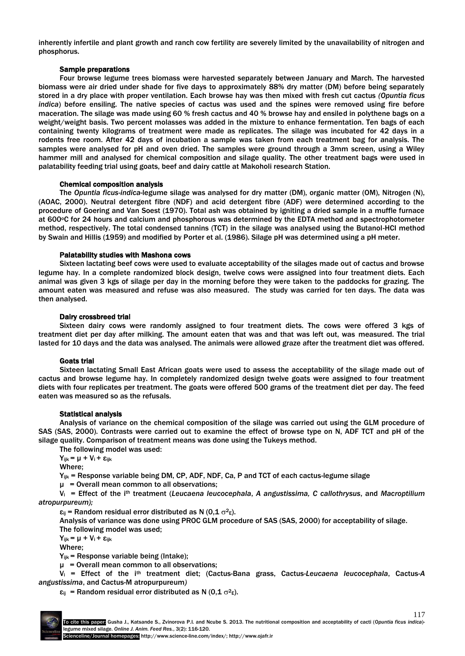inherently infertile and plant growth and ranch cow fertility are severely limited by the unavailability of nitrogen and phosphorus.

#### Sample preparations

Four browse legume trees biomass were harvested separately between January and March. The harvested biomass were air dried under shade for five days to approximately 88% dry matter (DM) before being separately stored in a dry place with proper ventilation. Each browse hay was then mixed with fresh cut cactus *(Opuntia ficus indica*) before ensiling. The native species of cactus was used and the spines were removed using fire before maceration. The silage was made using 60 % fresh cactus and 40 % browse hay and ensiled in polythene bags on a weight/weight basis. Two percent molasses was added in the mixture to enhance fermentation. Ten bags of each containing twenty kilograms of treatment were made as replicates. The silage was incubated for 42 days in a rodents free room. After 42 days of incubation a sample was taken from each treatment bag for analysis. The samples were analysed for pH and oven dried. The samples were ground through a 3mm screen, using a Wiley hammer mill and analysed for chemical composition and silage quality. The other treatment bags were used in palatability feeding trial using goats, beef and dairy cattle at Makoholi research Station.

### Chemical composition analysis

The *Opuntia ficus-indica*-legume silage was analysed for dry matter (DM), organic matter (OM), Nitrogen (N), (AOAC, 2000). Neutral detergent fibre (NDF) and acid detergent fibre (ADF) were determined according to the procedure of Goering and Van Soest (1970). Total ash was obtained by igniting a dried sample in a muffle furnace at 600°C for 24 hours and calcium and phosphorous was determined by the EDTA method and spectrophotometer method, respectively. The total condensed tannins (TCT) in the silage was analysed using the Butanol-HCI method by Swain and Hillis (1959) and modified by Porter et al. (1986). Silage pH was determined using a pH meter.

#### Palatability studies with Mashona cows

Sixteen lactating beef cows were used to evaluate acceptability of the silages made out of cactus and browse legume hay. In a complete randomized block design, twelve cows were assigned into four treatment diets. Each animal was given 3 kgs of silage per day in the morning before they were taken to the paddocks for grazing. The amount eaten was measured and refuse was also measured. The study was carried for ten days. The data was then analysed.

#### Dairy crossbreed trial

Sixteen dairy cows were randomly assigned to four treatment diets. The cows were offered 3 kgs of treatment diet per day after milking. The amount eaten that was and that was left out, was measured. The trial lasted for 10 days and the data was analysed. The animals were allowed graze after the treatment diet was offered.

## Goats trial

Sixteen lactating Small East African goats were used to assess the acceptability of the silage made out of cactus and browse legume hay. In completely randomized design twelve goats were assigned to four treatment diets with four replicates per treatment. The goats were offered 500 grams of the treatment diet per day. The feed eaten was measured so as the refusals.

#### Statistical analysis

Analysis of variance on the chemical composition of the silage was carried out using the GLM procedure of SAS (SAS, 2000). Contrasts were carried out to examine the effect of browse type on N, ADF TCT and pH of the silage quality. Comparison of treatment means was done using the Tukeys method.

The following model was used:

 $Y_{ijk} = μ + V_i + ε_{ijk}$ 

Where;

 $Y_{ijk}$  = Response variable being DM, CP, ADF, NDF, Ca, P and TCT of each cactus-legume silage

 $\mu$  = Overall mean common to all observations;

Vi = Effect of the ith treatment (*Leucaena leucocephala*, *A angustissima, C callothrysus*, and *Macroptilium atropurpureum);*

 $\varepsilon_{ij}$  = Random residual error distributed as N (0,1  $\sigma^2 \epsilon$ ).

Analysis of variance was done using PROC GLM procedure of SAS (SAS, 2000) for acceptability of silage. The following model was used;

 $Y_{ijk} = μ + V_i + ε_{ijk}$ 

Where;

Yijk = Response variable being (Intake);

 $\mu$  = Overall mean common to all observations;

V<sup>i</sup> = Effect of the ith treatment diet; (Cactus-Bana grass, Cactus-*Leucaena leucocephala*, Cactus-*A angustissima*, and Cactus-M atropurpureum*)*

 $\varepsilon_{ij}$  = Random residual error distributed as N (0,1  $\sigma^2 \epsilon$ ).

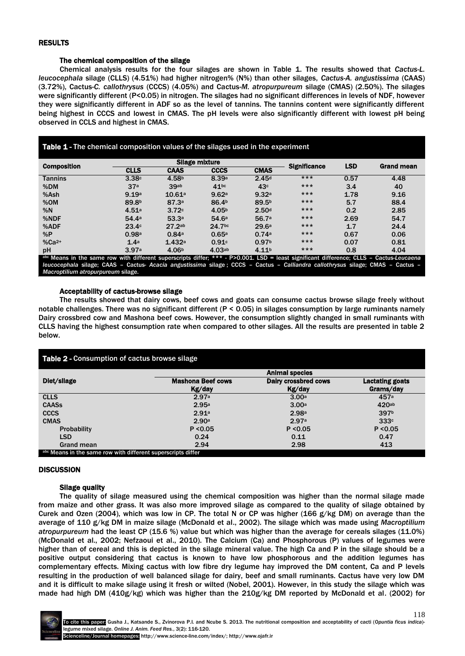#### RESULTS

#### The chemical composition of the silage

Chemical analysis results for the four silages are shown in Table 1. The results showed that *Cactus-L. leucocephala* silage (CLLS) (4.51%) had higher nitrogen% (N%) than other silages, *Cactus-A. angustissima* (CAAS) (3.72%), Cactus-*C. callothrysus* (CCCS) (4.05%) and Cactus-*M. atropurpureum* silage (CMAS) (2.50%). The silages were significantly different (P<0.05) in nitrogen. The silages had no significant differences in levels of NDF, however they were significantly different in ADF so as the level of tannins. The tannins content were significantly different being highest in CCCS and lowest in CMAS. The pH levels were also significantly different with lowest pH being observed in CCLS and highest in CMAS.

| <b>Table 1 - The chemical composition values of the silages used in the experiment</b>                                                       |                   |                   |                   |                   |                     |            |                   |  |  |
|----------------------------------------------------------------------------------------------------------------------------------------------|-------------------|-------------------|-------------------|-------------------|---------------------|------------|-------------------|--|--|
| <b>Composition</b>                                                                                                                           | Silage mixture    |                   |                   |                   | <b>Significance</b> | <b>LSD</b> | <b>Grand mean</b> |  |  |
|                                                                                                                                              | <b>CLLS</b>       | <b>CAAS</b>       | <b>CCCS</b>       | <b>CMAS</b>       |                     |            |                   |  |  |
| <b>Tannins</b>                                                                                                                               | 3.38c             | 4.58 <sup>b</sup> | 8.39a             | 2.45 <sup>d</sup> | $***$               | 0.57       | 4.48              |  |  |
| %DM                                                                                                                                          | 37 <sup>a</sup>   | 39ab              | 41 <sup>bc</sup>  | 43c               | $***$               | 3.4        | 40                |  |  |
| %Ash                                                                                                                                         | 9.19a             | 10.61a            | 9.62a             | 9.32a             | $***$               | 1.78       | 9.16              |  |  |
| %OM                                                                                                                                          | 89.8 <sup>b</sup> | 87.3a             | 86.4 <sup>b</sup> | 89.5 <sup>b</sup> | $***$               | 5.7        | 88.4              |  |  |
| %N                                                                                                                                           | 4.51a             | 3.72c             | 4.05 <sup>b</sup> | 2.50 <sup>d</sup> | $***$               | 0.2        | 2.85              |  |  |
| %NDF                                                                                                                                         | 54 4a             | 53.3a             | 54.6a             | 56.7a             | $***$               | 2.69       | 54.7              |  |  |
| %ADF                                                                                                                                         | 23.4c             | 27.2ab            | 24.7bc            | 29.6a             | $***$               | 1.7        | 24.4              |  |  |
| %P                                                                                                                                           | 0.98a             | 0.84a             | 0.65a             | 0.74a             | $***$               | 0.67       | 0.06              |  |  |
| $%Ca2+$                                                                                                                                      | 1.4 <sup>a</sup>  | 1.432a            | 0.91c             | 0.97 <sup>b</sup> | $***$               | 0.07       | 0.81              |  |  |
| pH                                                                                                                                           | 3.97a             | 4.06 <sup>b</sup> | 4.03ab            | 4.11 <sup>b</sup> | $***$               | 0.8        | 4.04              |  |  |
| abc Means in the same row with different superscripts differ; $***$ - $P>0.001$ . LSD = least significant difference; CLLS - Cactus-Leucaena |                   |                   |                   |                   |                     |            |                   |  |  |

*leucocephala* silage; CAAS – Cactus- *Acacia angustissima* silage ; CCCS – Cactus – *Calliandra callothrysus* silage; CMAS – Cactus – *Macroptilium atropurpureum* silage.

#### Acceptability of cactus-browse silage

The results showed that dairy cows, beef cows and goats can consume cactus browse silage freely without notable challenges. There was no significant different (P < 0.05) in silages consumption by large ruminants namely Dairy crossbred cow and Mashona beef cows. However, the consumption slightly changed in small ruminants with CLLS having the highest consumption rate when compared to other silages. All the results are presented in table 2 below.

| Table 2 - Consumption of cactus browse silage |                          |                        |  |  |  |  |  |  |
|-----------------------------------------------|--------------------------|------------------------|--|--|--|--|--|--|
|                                               |                          | <b>Animal species</b>  |  |  |  |  |  |  |
| Diet/silage                                   | <b>Mashona Beef cows</b> | <b>Dairy crossbred</b> |  |  |  |  |  |  |

| Diet/silage                                                  | <b>Mashona Beef cows</b> | Dairy crossbred cows | <b>Lactating goats</b> |  |  |  |
|--------------------------------------------------------------|--------------------------|----------------------|------------------------|--|--|--|
|                                                              | Kg/day                   | Kg/day               | Grams/day              |  |  |  |
| <b>CLLS</b>                                                  | 2.97a                    | 3.00a                | 457a                   |  |  |  |
| <b>CAASs</b>                                                 | 2.95a                    | 3.00 <sup>a</sup>    | 420ab                  |  |  |  |
| <b>CCCS</b>                                                  | 2.91a                    | 2.98a                | 397b                   |  |  |  |
| <b>CMAS</b>                                                  | 2.90a                    | 2.97a                | 333c                   |  |  |  |
| <b>Probability</b>                                           | P < 0.05                 | P < 0.05             | P < 0.05               |  |  |  |
| <b>LSD</b>                                                   | 0.24                     | 0.11                 | 0.47                   |  |  |  |
| <b>Grand mean</b>                                            | 2.94                     | 2.98                 | 413                    |  |  |  |
| abc Means in the same row with different superscripts differ |                          |                      |                        |  |  |  |

#### **DISCUSSION**

#### Silage quality

The quality of silage measured using the chemical composition was higher than the normal silage made from maize and other grass. It was also more improved silage as compared to the quality of silage obtained by Curek and Ozen (2004), which was low in CP. The total N or CP was higher (166 g/kg DM) on average than the average of 110 g/kg DM in maize silage (McDonald et al., 2002). The silage which was made using *Macroptilium atropurpureum* had the least CP (15.6 %) value but which was higher than the average for cereals silages (11.0%) (McDonald et al., 2002; Nefzaoui et al., 2010). The Calcium (Ca) and Phosphorous (P) values of legumes were higher than of cereal and this is depicted in the silage mineral value. The high Ca and P in the silage should be a positive output considering that cactus is known to have low phosphorous and the addition legumes has complementary effects. Mixing cactus with low fibre dry legume hay improved the DM content, Ca and P levels resulting in the production of well balanced silage for dairy, beef and small ruminants. Cactus have very low DM and it is difficult to make silage using it fresh or wilted (Nobel, 2001). However, in this study the silage which was made had high DM (410g/kg) which was higher than the 210g/kg DM reported by McDonald et al. (2002) for

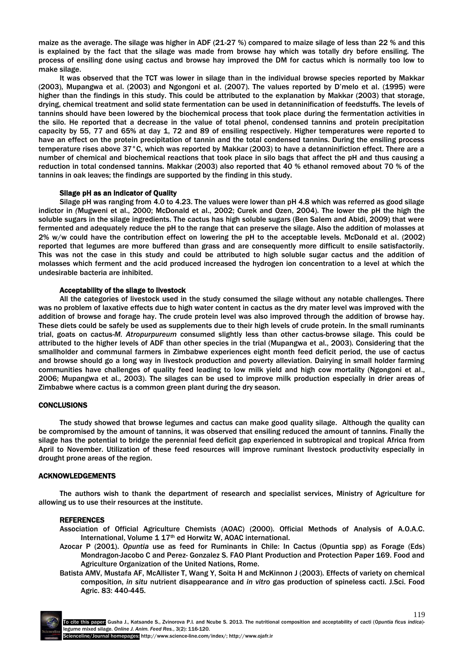maize as the average. The silage was higher in ADF (21-27 %) compared to maize silage of less than 22 % and this is explained by the fact that the silage was made from browse hay which was totally dry before ensiling. The process of ensiling done using cactus and browse hay improved the DM for cactus which is normally too low to make silage.

It was observed that the TCT was lower in silage than in the individual browse species reported by Makkar (2003), Mupangwa et al. (2003) and Ngongoni et al. (2007). The values reported by D'melo et al. (1995) were higher than the findings in this study. This could be attributed to the explanation by Makkar (2003) that storage, drying, chemical treatment and solid state fermentation can be used in detanninification of feedstuffs. The levels of tannins should have been lowered by the biochemical process that took place during the fermentation activities in the silo. He reported that a decrease in the value of total phenol, condensed tannins and protein precipitation capacity by 55, 77 and 65% at day 1, 72 and 89 of ensiling respectively. Higher temperatures were reported to have an effect on the protein precipitation of tannin and the total condensed tannins. During the ensiling process temperature rises above 37°C, which was reported by Makkar (2003) to have a detanninifiction effect. There are a number of chemical and biochemical reactions that took place in silo bags that affect the pH and thus causing a reduction in total condensed tannins. Makkar (2003) also reported that 40 % ethanol removed about 70 % of the tannins in oak leaves; the findings are supported by the finding in this study.

#### Silage pH as an indicator of Quality

Silage pH was ranging from 4.0 to 4.23. The values were lower than pH 4.8 which was referred as good silage indictor in *(*Mugweni et al., 2000; McDonald et al., 2002; Curek and Ozen, 2004). The lower the pH the high the soluble sugars in the silage ingredients. The cactus has high soluble sugars (Ben Salem and Abidi, 2009) that were fermented and adequately reduce the pH to the range that can preserve the silage. Also the addition of molasses at 2% w/w could have the contribution effect on lowering the pH to the acceptable levels. McDonald et al. (2002) reported that legumes are more buffered than grass and are consequently more difficult to ensile satisfactorily. This was not the case in this study and could be attributed to high soluble sugar cactus and the addition of molasses which ferment and the acid produced increased the hydrogen ion concentration to a level at which the undesirable bacteria are inhibited.

#### Acceptability of the silage to livestock

All the categories of livestock used in the study consumed the silage without any notable challenges. There was no problem of laxative effects due to high water content in cactus as the dry mater level was improved with the addition of browse and forage hay. The crude protein level was also improved through the addition of browse hay. These diets could be safely be used as supplements due to their high levels of crude protein. In the small ruminants trial, goats on cactus-*M. Atropurpureum* consumed slightly less than other cactus-browse silage. This could be attributed to the higher levels of ADF than other species in the trial (Mupangwa et al., 2003). Considering that the smallholder and communal farmers in Zimbabwe experiences eight month feed deficit period, the use of cactus and browse should go a long way in livestock production and poverty alleviation. Dairying in small holder farming communities have challenges of quality feed leading to low milk yield and high cow mortality (Ngongoni et al., 2006; Mupangwa et al., 2003). The silages can be used to improve milk production especially in drier areas of Zimbabwe where cactus is a common green plant during the dry season.

#### **CONCLUSIONS**

The study showed that browse legumes and cactus can make good quality silage. Although the quality can be compromised by the amount of tannins, it was observed that ensiling reduced the amount of tannins. Finally the silage has the potential to bridge the perennial feed deficit gap experienced in subtropical and tropical Africa from April to November. Utilization of these feed resources will improve ruminant livestock productivity especially in drought prone areas of the region.

#### ACKNOWLEDGEMENTS

The authors wish to thank the department of research and specialist services, Ministry of Agriculture for allowing us to use their resources at the institute.

#### REFERENCES

- Association of Official Agriculture Chemists (AOAC) (2000). Official Methods of Analysis of A.O.A.C. International, Volume 1 17th ed Horwitz W, AOAC international.
- Azocar P (2001). *Opuntia* use as feed for Ruminants in Chile: In Cactus (Opuntia spp) as Forage (Eds) Mondragon-Jacobo C and Perez- Gonzalez S. FAO Plant Production and Protection Paper 169. Food and Agriculture Organization of the United Nations, Rome.
- Batista AMV, Mustafa AF, McAllister T, Wang Y, Soita H and McKinnon J (2003). Effects of variety on chemical composition, *in situ* nutrient disappearance and *in vitro* gas production of spineless cacti. J.Sci. Food Agric. 83: 440-445.